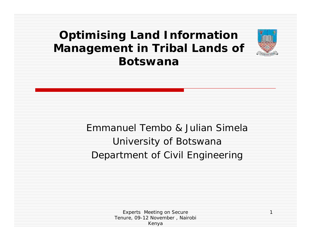#### **Optimising Land Information Management in Tribal Lands of Botswana**

#### Emmanuel Tembo & Julian Simela University of Botswana Department of Civil Engineering

Experts Meeting on Secure Tenure, 09-12 November , Nairobi Kenya

1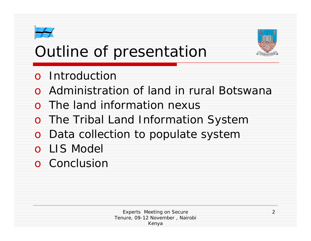# Outline of presentation



- o Administration of land in rural Botswana
- o The land information nexus
- o The Tribal Land Information System
- o Data collection to populate system
- o LIS Model
- o Conclusion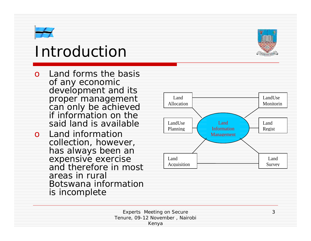### Introduction

- o Land forms the basis of any economic development and its proper management can only be achieved if information on the said land is available
- o Land information collection, however, has always been an expensive exercise and therefore in most areas in rural Botswana information is incomplete



3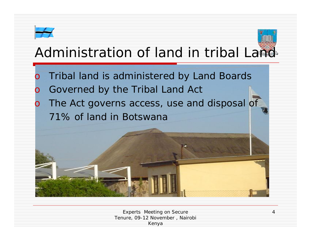#### Administration of land in tribal Land

o Tribal land is administered by Land Boards Governed by the Tribal Land Act o The Act governs access, use and disposal of 71% of land in Botswana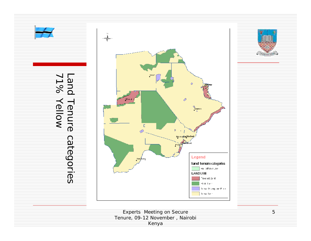

Tenure, 09-12 No vember , Nairobi Kenya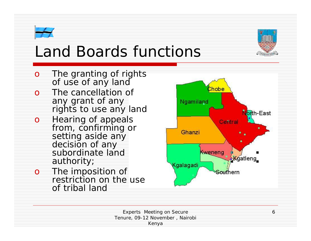

- o The granting of rights of us e of any land
- o The cancellation of any grant of any rights to us e any land
- o Hearing of a ppeals from, confirming or setting aside any d e cision of any subordinate land authority;
- o The imposition of restrictio n on the u se of tri bal land

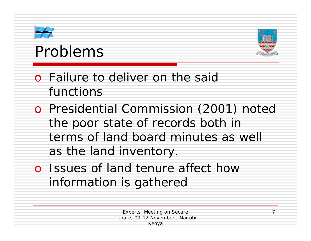## Problems



7

o Failure to deliver on the said functions

o Presidential Commission (2001) noted the poor state of records both in terms of land board minutes as well as the land inventory.

o Issues of land tenure affect how information is gathered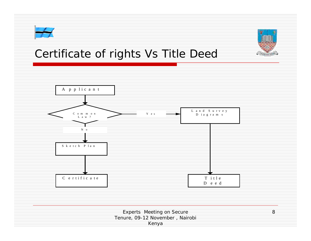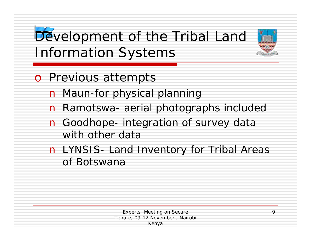### Development of the Tribal Land Information Systems

- o Previous attempts
	- n Maun-for physical planning
	- n Ramotswa- aerial photographs included
	- n Goodhope- integration of survey data with other data
	- n LYNSIS- Land Inventory for Tribal Areas of Botswana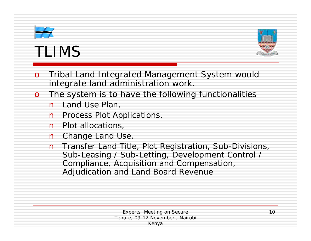# TLIMS



- o Tribal Land Integrated Management System would integrate land administration work.
- o The system is to have the following functionalities
	- n Land Use Plan,
	- **n** Process Plot Applications,
	- n Plot allocations,
	- n Change Land Use,
	- n Transfer Land Title, Plot Registration, Sub-Divisions, Sub-Leasing / Sub-Letting, Development Control / Compliance, Acquisition and Compensation, Adjudication and Land Board Revenue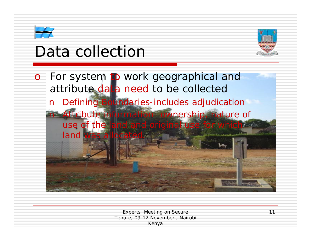# Data collection



o For system to work geographical and attribute data need to be collected n Defining Boundaries-includes adjudication n Attribute information- ownership, nature of use of the land and original us land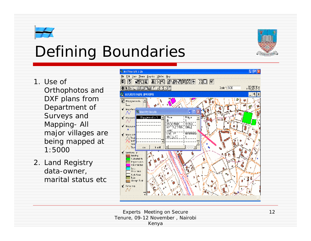## Defining Boundaries

- 1. Use of Orthophotos and DXF plans from Department of Surveys and Mapping- All major villages are being mapped at 1:5000
- 2. Land Registry data-owner, marital status etc

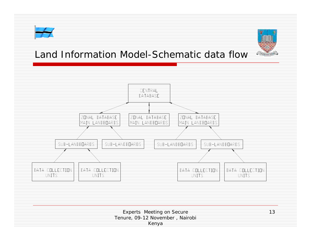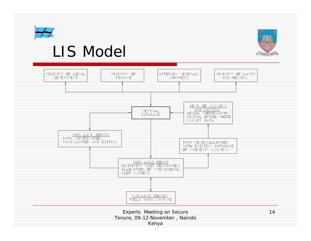

#### LIS Model